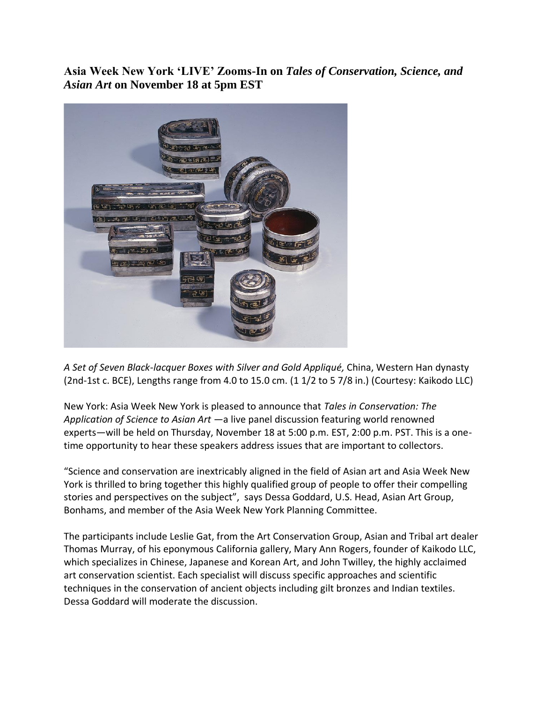**Asia Week New York 'LIVE' Zooms-In on** *Tales of Conservation, Science, and Asian Art* **on November 18 at 5pm EST**



*A Set of Seven Black-lacquer Boxes with Silver and Gold Appliqué,* China, Western Han dynasty (2nd-1st c. BCE), Lengths range from 4.0 to 15.0 cm. (1 1/2 to 5 7/8 in.) (Courtesy: Kaikodo LLC)

New York: Asia Week New York is pleased to announce that *Tales in Conservation: The Application of Science to Asian Art* —a live panel discussion featuring world renowned experts—will be held on Thursday, November 18 at 5:00 p.m. EST, 2:00 p.m. PST. This is a onetime opportunity to hear these speakers address issues that are important to collectors.

"Science and conservation are inextricably aligned in the field of Asian art and Asia Week New York is thrilled to bring together this highly qualified group of people to offer their compelling stories and perspectives on the subject", says Dessa Goddard, U.S. Head, Asian Art Group, Bonhams, and member of the Asia Week New York Planning Committee.

The participants include Leslie Gat, from the Art Conservation Group, Asian and Tribal art dealer Thomas Murray, of his eponymous California gallery, Mary Ann Rogers, founder of Kaikodo LLC, which specializes in Chinese, Japanese and Korean Art, and John Twilley, the highly acclaimed art conservation scientist. Each specialist will discuss specific approaches and scientific techniques in the conservation of ancient objects including gilt bronzes and Indian textiles. Dessa Goddard will moderate the discussion.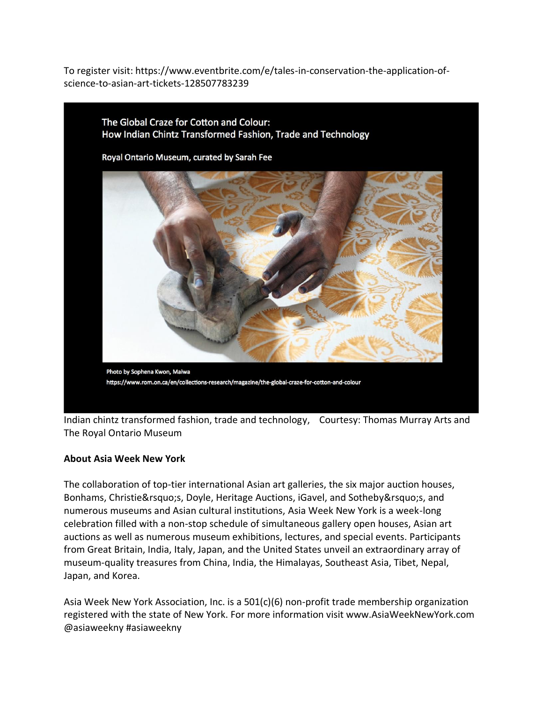To register visit: https://www.eventbrite.com/e/tales-in-conservation-the-application-ofscience-to-asian-art-tickets-128507783239



Indian chintz transformed fashion, trade and technology, Courtesy: Thomas Murray Arts and The Royal Ontario Museum

## **About Asia Week New York**

The collaboration of top-tier international Asian art galleries, the six major auction houses, Bonhams, Christie's, Doyle, Heritage Auctions, iGavel, and Sotheby's, and numerous museums and Asian cultural institutions, Asia Week New York is a week-long celebration filled with a non-stop schedule of simultaneous gallery open houses, Asian art auctions as well as numerous museum exhibitions, lectures, and special events. Participants from Great Britain, India, Italy, Japan, and the United States unveil an extraordinary array of museum-quality treasures from China, India, the Himalayas, Southeast Asia, Tibet, Nepal, Japan, and Korea.

Asia Week New York Association, Inc. is a  $501(c)(6)$  non-profit trade membership organization registered with the state of New York. For more information visit www.AsiaWeekNewYork.com @asiaweekny #asiaweekny